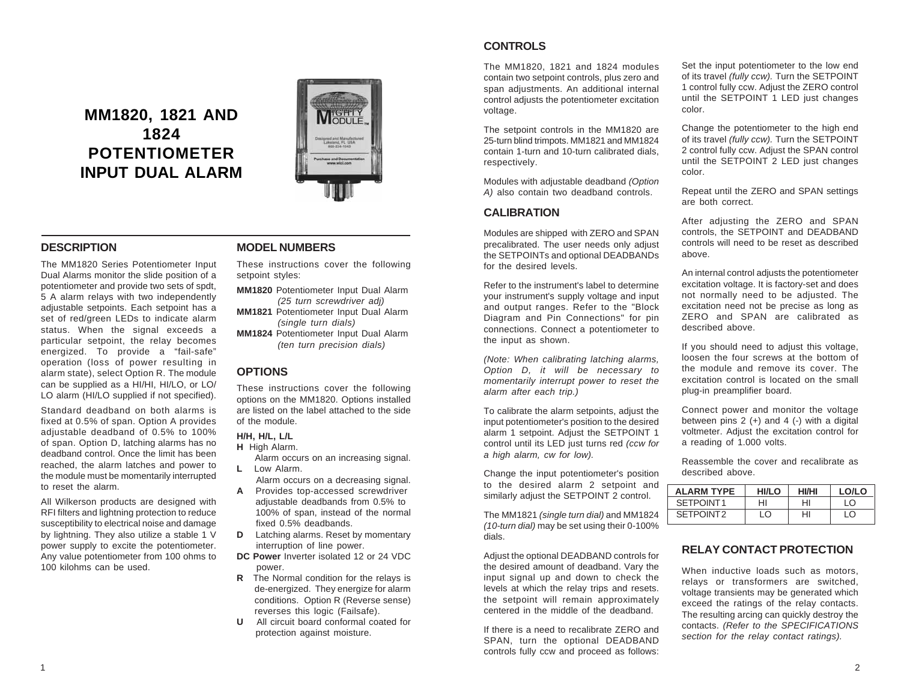# **MM1820, 1821 AND 1824 POTENTIOMETER INPUT DUAL ALARM**



## **DESCRIPTION**

The MM1820 Series Potentiometer Input Dual Alarms monitor the slide position of a potentiometer and provide two sets of spdt, 5 A alarm relays with two independently adjustable setpoints. Each setpoint has a set of red/green LEDs to indicate alarm status. When the signal exceeds a particular setpoint, the relay becomes energized. To provide a "fail-safe" operation (loss of power resulting in alarm state), select Option R. The module can be supplied as a HI/HI, HI/LO, or LO/ LO alarm (HI/LO supplied if not specified).

Standard deadband on both alarms is fixed at 0.5% of span. Option A provides adjustable deadband of 0.5% to 100% of span. Option D, latching alarms has no deadband control. Once the limit has been reached, the alarm latches and power to the module must be momentarily interrupted to reset the alarm.

All Wilkerson products are designed with RFI filters and lightning protection to reduce susceptibility to electrical noise and damage by lightning. They also utilize a stable 1 V power supply to excite the potentiometer. Any value potentiometer from 100 ohms to 100 kilohms can be used.

#### **MODEL NUMBERS**

These instructions cover the following setpoint styles:

**MM1820** Potentiometer Input Dual Alarm *(25 turn screwdriver adj)*

**MM1821** Potentiometer Input Dual Alarm *(single turn dials)*

**MM1824** Potentiometer Input Dual Alarm *(ten turn precision dials)*

### **OPTIONS**

These instructions cover the following options on the MM1820. Options installed are listed on the label attached to the side of the module.

#### **H/H, H/L, L/L**

**H** High Alarm.

 Alarm occurs on an increasing signal. **L** Low Alarm.

Alarm occurs on a decreasing signal.

- **A** Provides top-accessed screwdriver adjustable deadbands from 0.5% to 100% of span, instead of the normal fixed 0.5% deadbands.
- **D** Latching alarms. Reset by momentary interruption of line power.
- **DC Power** Inverter isolated 12 or 24 VDC power.
- **R** The Normal condition for the relays is de-energized. They energize for alarm conditions. Option R (Reverse sense) reverses this logic (Failsafe).
- **U**All circuit board conformal coated for protection against moisture.

# **CONTROLS**

The MM1820, 1821 and 1824 modules contain two setpoint controls, plus zero and span adjustments. An additional internal control adjusts the potentiometer excitation voltage.

The setpoint controls in the MM1820 are 25-turn blind trimpots. MM1821 and MM1824 contain 1-turn and 10-turn calibrated dials, respectively.

Modules with adjustable deadband *(Option A)* also contain two deadband controls.

#### **CALIBRATION**

Modules are shipped with ZERO and SPAN precalibrated. The user needs only adjust the SETPOINTs and optional DEADBANDs for the desired levels.

Refer to the instrument's label to determine your instrument's supply voltage and input and output ranges. Refer to the "Block Diagram and Pin Connections" for pin connections. Connect a potentiometer to the input as shown.

*(Note: When calibrating latching alarms, Option D, it will be necessary to momentarily interrupt power to reset the alarm after each trip.)*

To calibrate the alarm setpoints, adjust the input potentiometer's position to the desired alarm 1 setpoint. Adjust the SETPOINT 1 control until its LED just turns red *(ccw for a high alarm, cw for low).*

Change the input potentiometer's position to the desired alarm 2 setpoint and similarly adjust the SETPOINT 2 control.

The MM1821 *(single turn dial)* and MM1824 *(10-turn dial)* may be set using their 0-100% dials.

Adjust the optional DEADBAND controls for the desired amount of deadband. Vary the input signal up and down to check the levels at which the relay trips and resets. the setpoint will remain approximately centered in the middle of the deadband.

If there is a need to recalibrate ZERO and SPAN, turn the optional DEADBAND controls fully ccw and proceed as follows: Set the input potentiometer to the low end of its travel *(fully ccw).* Turn the SETPOINT 1 control fully ccw. Adjust the ZERO control until the SETPOINT 1 LED just changes color.

Change the potentiometer to the high end of its travel *(fully ccw).* Turn the SETPOINT 2 control fully ccw. Adjust the SPAN control until the SETPOINT 2 LED just changes color.

Repeat until the ZERO and SPAN settings are both correct.

After adjusting the ZERO and SPAN controls, the SETPOINT and DEADBAND controls will need to be reset as described above.

An internal control adjusts the potentiometer excitation voltage. It is factory-set and does not normally need to be adjusted. The excitation need not be precise as long as ZERO and SPAN are calibrated as described above.

If you should need to adjust this voltage, loosen the four screws at the bottom of the module and remove its cover. The excitation control is located on the small plug-in preamplifier board.

Connect power and monitor the voltage between pins  $2 (+)$  and  $4 (-)$  with a digital voltmeter. Adjust the excitation control for a reading of 1.000 volts.

Reassemble the cover and recalibrate as described above.

| <b>ALARM TYPE</b>     | <b>HI/LO</b> | <b>HI/HI</b> | LO/LO                         |
|-----------------------|--------------|--------------|-------------------------------|
| SETPOINT1             | HI           | HI           | $\overline{1}$ $\overline{0}$ |
| SETPOINT <sub>2</sub> | ıΩ           | HI           | $\overline{0}$                |

#### **RELAY CONTACT PROTECTION**

When inductive loads such as motors, relays or transformers are switched, voltage transients may be generated which exceed the ratings of the relay contacts. The resulting arcing can quickly destroy the contacts. *(Refer to the SPECIFICATIONS section for the relay contact ratings).*